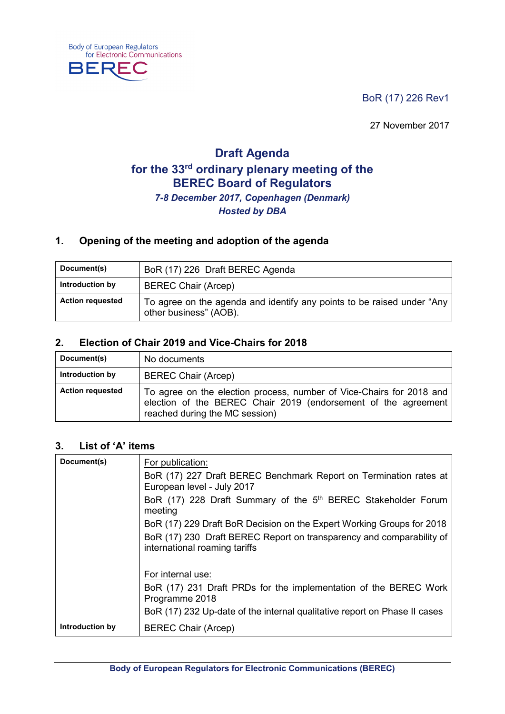BoR (17) 226 Rev1

27 November 2017

# **Draft Agenda for the 33rd ordinary plenary meeting of the BEREC Board of Regulators** *7-8 December 2017, Copenhagen (Denmark) Hosted by DBA*

### **1. Opening of the meeting and adoption of the agenda**

| Document(s)             | BoR (17) 226 Draft BEREC Agenda                                                                  |
|-------------------------|--------------------------------------------------------------------------------------------------|
| Introduction by         | <b>BEREC Chair (Arcep)</b>                                                                       |
| <b>Action requested</b> | To agree on the agenda and identify any points to be raised under "Any<br>other business" (AOB). |

### **2. Election of Chair 2019 and Vice-Chairs for 2018**

| Document(s)             | No documents                                                                                                                                                             |
|-------------------------|--------------------------------------------------------------------------------------------------------------------------------------------------------------------------|
| Introduction by         | <b>BEREC Chair (Arcep)</b>                                                                                                                                               |
| <b>Action requested</b> | To agree on the election process, number of Vice-Chairs for 2018 and<br>election of the BEREC Chair 2019 (endorsement of the agreement<br>reached during the MC session) |

#### **3. List of 'A' items**

**Body of European Regulators** 

**BERE** 

for Electronic Communications

| Document(s)     | For publication:                                                                                      |
|-----------------|-------------------------------------------------------------------------------------------------------|
|                 | BoR (17) 227 Draft BEREC Benchmark Report on Termination rates at<br>European level - July 2017       |
|                 | BoR (17) 228 Draft Summary of the 5 <sup>th</sup> BEREC Stakeholder Forum<br>meeting                  |
|                 | BoR (17) 229 Draft BoR Decision on the Expert Working Groups for 2018                                 |
|                 | BoR (17) 230 Draft BEREC Report on transparency and comparability of<br>international roaming tariffs |
|                 | For internal use:                                                                                     |
|                 | BoR (17) 231 Draft PRDs for the implementation of the BEREC Work<br>Programme 2018                    |
|                 | BoR (17) 232 Up-date of the internal qualitative report on Phase II cases                             |
| Introduction by | <b>BEREC Chair (Arcep)</b>                                                                            |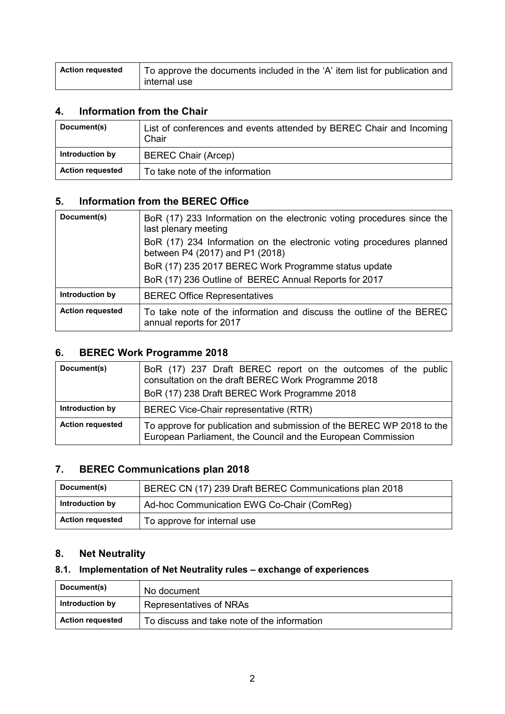| <b>Action requested</b> | To approve the documents included in the 'A' item list for publication and |
|-------------------------|----------------------------------------------------------------------------|
|                         | internal use                                                               |

### **4. Information from the Chair**

| Document(s)             | List of conferences and events attended by BEREC Chair and Incoming<br>Chair |
|-------------------------|------------------------------------------------------------------------------|
| Introduction by         | <b>BEREC Chair (Arcep)</b>                                                   |
| <b>Action requested</b> | To take note of the information                                              |

### **5. Information from the BEREC Office**

| Document(s)             | BoR (17) 233 Information on the electronic voting procedures since the<br>last plenary meeting          |
|-------------------------|---------------------------------------------------------------------------------------------------------|
|                         | BoR (17) 234 Information on the electronic voting procedures planned<br>between P4 (2017) and P1 (2018) |
|                         | BoR (17) 235 2017 BEREC Work Programme status update                                                    |
|                         | BoR (17) 236 Outline of BEREC Annual Reports for 2017                                                   |
| Introduction by         | <b>BEREC Office Representatives</b>                                                                     |
| <b>Action requested</b> | To take note of the information and discuss the outline of the BEREC<br>annual reports for 2017         |

### **6. BEREC Work Programme 2018**

| Document(s)             | BoR (17) 237 Draft BEREC report on the outcomes of the public<br>consultation on the draft BEREC Work Programme 2018<br>BoR (17) 238 Draft BEREC Work Programme 2018 |
|-------------------------|----------------------------------------------------------------------------------------------------------------------------------------------------------------------|
| Introduction by         | BEREC Vice-Chair representative (RTR)                                                                                                                                |
| <b>Action requested</b> | To approve for publication and submission of the BEREC WP 2018 to the<br>European Parliament, the Council and the European Commission                                |

### **7. BEREC Communications plan 2018**

| Document(s)             | BEREC CN (17) 239 Draft BEREC Communications plan 2018 |
|-------------------------|--------------------------------------------------------|
| Introduction by         | Ad-hoc Communication EWG Co-Chair (ComReg)             |
| <b>Action requested</b> | To approve for internal use                            |

## **8. Net Neutrality**

### **8.1. Implementation of Net Neutrality rules – exchange of experiences**

| Document(s)             | No document                                 |
|-------------------------|---------------------------------------------|
| Introduction by         | Representatives of NRAs                     |
| <b>Action requested</b> | To discuss and take note of the information |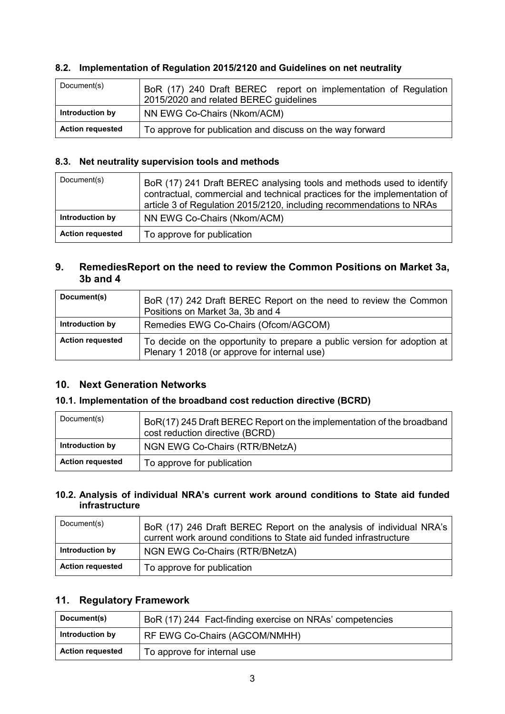#### **8.2. Implementation of Regulation 2015/2120 and Guidelines on net neutrality**

| Document(s)             | BoR (17) 240 Draft BEREC report on implementation of Regulation<br>2015/2020 and related BEREC guidelines |
|-------------------------|-----------------------------------------------------------------------------------------------------------|
| Introduction by         | NN EWG Co-Chairs (Nkom/ACM)                                                                               |
| <b>Action requested</b> | To approve for publication and discuss on the way forward                                                 |

#### **8.3. Net neutrality supervision tools and methods**

| Document(s)             | BoR (17) 241 Draft BEREC analysing tools and methods used to identify<br>contractual, commercial and technical practices for the implementation of<br>article 3 of Regulation 2015/2120, including recommendations to NRAs |
|-------------------------|----------------------------------------------------------------------------------------------------------------------------------------------------------------------------------------------------------------------------|
| Introduction by         | NN EWG Co-Chairs (Nkom/ACM)                                                                                                                                                                                                |
| <b>Action requested</b> | To approve for publication                                                                                                                                                                                                 |

#### **9. RemediesReport on the need to review the Common Positions on Market 3a, 3b and 4**

| Document(s)             | BoR (17) 242 Draft BEREC Report on the need to review the Common<br>Positions on Market 3a, 3b and 4                     |
|-------------------------|--------------------------------------------------------------------------------------------------------------------------|
| Introduction by         | Remedies EWG Co-Chairs (Ofcom/AGCOM)                                                                                     |
| <b>Action requested</b> | To decide on the opportunity to prepare a public version for adoption at<br>Plenary 1 2018 (or approve for internal use) |

#### **10. Next Generation Networks**

#### **10.1. Implementation of the broadband cost reduction directive (BCRD)**

| Document(s)             | BoR(17) 245 Draft BEREC Report on the implementation of the broadband<br>cost reduction directive (BCRD) |
|-------------------------|----------------------------------------------------------------------------------------------------------|
| Introduction by         | NGN EWG Co-Chairs (RTR/BNetzA)                                                                           |
| <b>Action requested</b> | To approve for publication                                                                               |

#### **10.2. Analysis of individual NRA's current work around conditions to State aid funded infrastructure**

| Document(s)             | BoR (17) 246 Draft BEREC Report on the analysis of individual NRA's<br>current work around conditions to State aid funded infrastructure |
|-------------------------|------------------------------------------------------------------------------------------------------------------------------------------|
| Introduction by         | NGN EWG Co-Chairs (RTR/BNetzA)                                                                                                           |
| <b>Action requested</b> | To approve for publication                                                                                                               |

### **11. Regulatory Framework**

| Document(s)             | BoR (17) 244 Fact-finding exercise on NRAs' competencies |
|-------------------------|----------------------------------------------------------|
| Introduction by         | RF EWG Co-Chairs (AGCOM/NMHH)                            |
| <b>Action requested</b> | To approve for internal use                              |